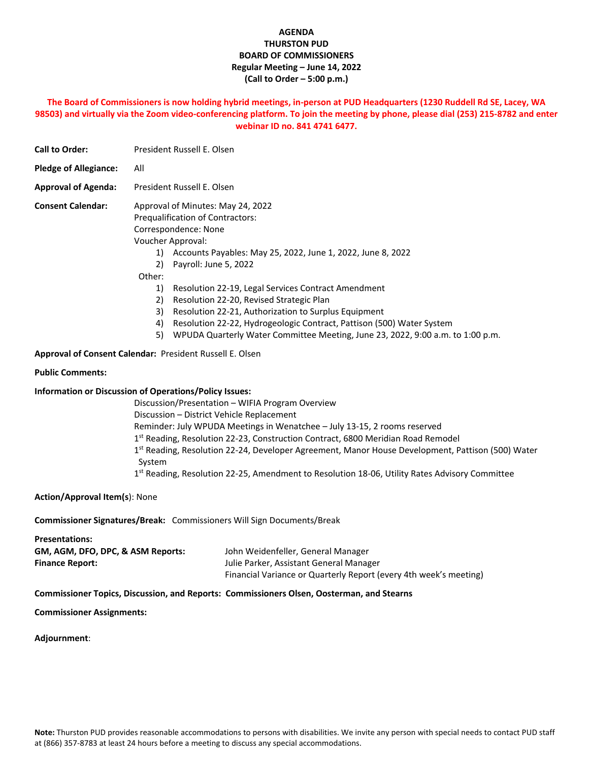## **AGENDA THURSTON PUD BOARD OF COMMISSIONERS Regular Meeting – June 14, 2022 (Call to Order – 5:00 p.m.)**

## **The Board of Commissioners is now holding hybrid meetings, in-person at PUD Headquarters (1230 Ruddell Rd SE, Lacey, WA 98503) and virtually via the Zoom video-conferencing platform. To join the meeting by phone, please dial (253) 215-8782 and enter webinar ID no. 841 4741 6477.**

| <b>Call to Order:</b>        | President Russell E. Olsen                                                                                                                                                                                                                                                                                                                                                                                                                                                                                                                                                           |  |  |
|------------------------------|--------------------------------------------------------------------------------------------------------------------------------------------------------------------------------------------------------------------------------------------------------------------------------------------------------------------------------------------------------------------------------------------------------------------------------------------------------------------------------------------------------------------------------------------------------------------------------------|--|--|
| <b>Pledge of Allegiance:</b> | All                                                                                                                                                                                                                                                                                                                                                                                                                                                                                                                                                                                  |  |  |
| <b>Approval of Agenda:</b>   | President Russell E. Olsen                                                                                                                                                                                                                                                                                                                                                                                                                                                                                                                                                           |  |  |
| <b>Consent Calendar:</b>     | Approval of Minutes: May 24, 2022<br>Prequalification of Contractors:<br>Correspondence: None<br>Voucher Approval:<br>Accounts Payables: May 25, 2022, June 1, 2022, June 8, 2022<br>1)<br>Payroll: June 5, 2022<br>2)<br>Other:<br>1)<br>Resolution 22-19, Legal Services Contract Amendment<br>2)<br>Resolution 22-20, Revised Strategic Plan<br>3)<br>Resolution 22-21, Authorization to Surplus Equipment<br>4)<br>Resolution 22-22, Hydrogeologic Contract, Pattison (500) Water System<br>5)<br>WPUDA Quarterly Water Committee Meeting, June 23, 2022, 9:00 a.m. to 1:00 p.m. |  |  |
|                              | $\blacksquare$ $\blacksquare$ $\blacksquare$ $\blacksquare$ $\blacksquare$ $\blacksquare$ $\blacksquare$ $\blacksquare$ $\blacksquare$ $\blacksquare$ $\blacksquare$ $\blacksquare$ $\blacksquare$ $\blacksquare$ $\blacksquare$ $\blacksquare$ $\blacksquare$ $\blacksquare$ $\blacksquare$ $\blacksquare$ $\blacksquare$ $\blacksquare$ $\blacksquare$ $\blacksquare$ $\blacksquare$ $\blacksquare$ $\blacksquare$ $\blacksquare$ $\blacksquare$ $\blacksquare$ $\blacksquare$ $\blacks$                                                                                           |  |  |

**Approval of Consent Calendar:** President Russell E. Olsen

#### **Public Comments:**

#### **Information or Discussion of Operations/Policy Issues:**

Discussion/Presentation – WIFIA Program Overview Discussion – District Vehicle Replacement Reminder: July WPUDA Meetings in Wenatchee – July 13-15, 2 rooms reserved 1<sup>st</sup> Reading, Resolution 22-23, Construction Contract, 6800 Meridian Road Remodel 1<sup>st</sup> Reading, Resolution 22-24, Developer Agreement, Manor House Development, Pattison (500) Water System 1<sup>st</sup> Reading, Resolution 22-25, Amendment to Resolution 18-06, Utility Rates Advisory Committee

**Action/Approval Item(s**): None

**Commissioner Signatures/Break:** Commissioners Will Sign Documents/Break

| <b>Presentations:</b>             |                                                                   |
|-----------------------------------|-------------------------------------------------------------------|
| GM, AGM, DFO, DPC, & ASM Reports: | John Weidenfeller, General Manager                                |
| <b>Finance Report:</b>            | Julie Parker, Assistant General Manager                           |
|                                   | Financial Variance or Quarterly Report (every 4th week's meeting) |

#### **Commissioner Topics, Discussion, and Reports: Commissioners Olsen, Oosterman, and Stearns**

**Commissioner Assignments:**

**Adjournment**: